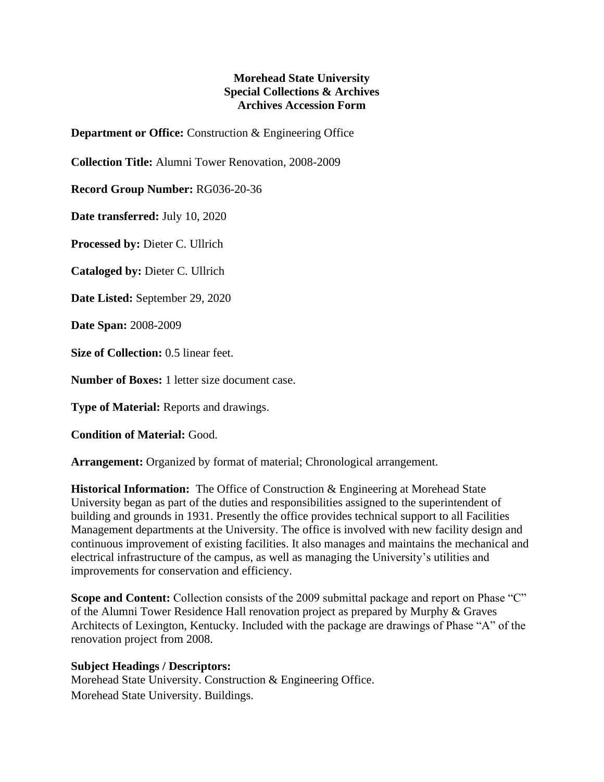## **Morehead State University Special Collections & Archives Archives Accession Form**

**Department or Office:** Construction & Engineering Office

**Collection Title:** Alumni Tower Renovation, 2008-2009

**Record Group Number:** RG036-20-36

**Date transferred:** July 10, 2020

**Processed by:** Dieter C. Ullrich

**Cataloged by:** Dieter C. Ullrich

**Date Listed:** September 29, 2020

**Date Span:** 2008-2009

**Size of Collection:** 0.5 linear feet.

**Number of Boxes:** 1 letter size document case.

**Type of Material:** Reports and drawings.

**Condition of Material:** Good.

**Arrangement:** Organized by format of material; Chronological arrangement.

**Historical Information:** The Office of Construction & Engineering at Morehead State University began as part of the duties and responsibilities assigned to the superintendent of building and grounds in 1931. Presently the office provides technical support to all Facilities Management departments at the University. The office is involved with new facility design and continuous improvement of existing facilities. It also manages and maintains the mechanical and electrical infrastructure of the campus, as well as managing the University's utilities and improvements for conservation and efficiency.

**Scope and Content:** Collection consists of the 2009 submittal package and report on Phase "C" of the Alumni Tower Residence Hall renovation project as prepared by Murphy & Graves Architects of Lexington, Kentucky. Included with the package are drawings of Phase "A" of the renovation project from 2008.

## **Subject Headings / Descriptors:**

Morehead State University. Construction & Engineering Office. Morehead State University. Buildings.